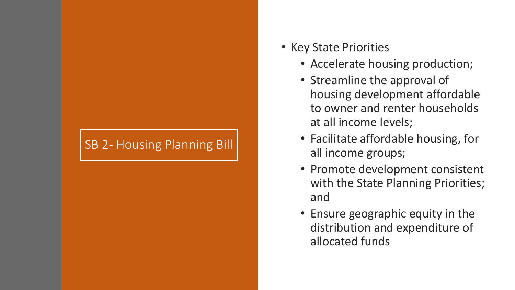### SB 2- Housing Planning Bill

- Key State Priorities
	- Accelerate housing production;
	- Streamline the approval of housing development affordable to owner and renter households at all income levels;
	- Facilitate affordable housing, for all income groups;
	- Promote development consistent with the State Planning Priorities; and
	- Ensure geographic equity in the distribution and expenditure of allocated funds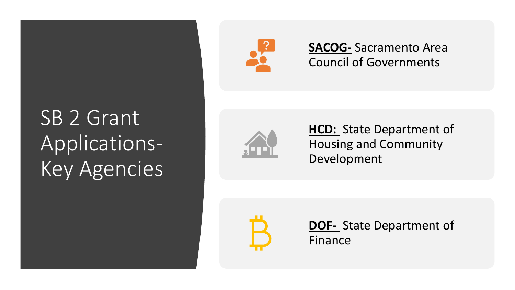### SB 2 Grant Applications-Key Agencies



**SACOG-** Sacramento Area Council of Governments



**HCD:** State Department of Housing and Community Development

**DOF-** State Department of Finance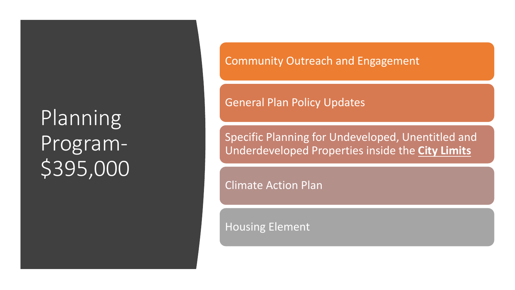Planning Program- \$395,000 Community Outreach and Engagement

General Plan Policy Updates

Specific Planning for Undeveloped, Unentitled and Underdeveloped Properties inside the **City Limits**

Climate Action Plan

Housing Element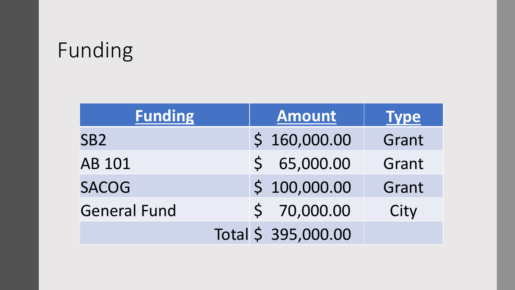### Funding

| <b>Funding</b>      | <b>Amount</b>       | <b>Type</b> |
|---------------------|---------------------|-------------|
| SB <sub>2</sub>     | \$160,000.00        | Grant       |
| <b>AB 101</b>       | \$65,000.00         | Grant       |
| <b>SACOG</b>        | \$100,000.00        | Grant       |
| <b>General Fund</b> | \$70,000.00         | City        |
|                     | Total \$ 395,000.00 |             |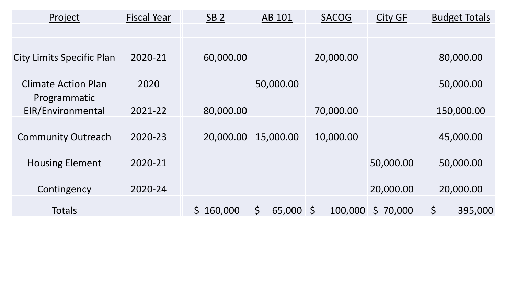| Project                          | <b>Fiscal Year</b> | SB <sub>2</sub> | AB 101       | <b>SACOG</b>       | <b>City GF</b> | <b>Budget Totals</b>   |
|----------------------------------|--------------------|-----------------|--------------|--------------------|----------------|------------------------|
|                                  |                    |                 |              |                    |                |                        |
|                                  |                    |                 |              |                    |                |                        |
| <b>City Limits Specific Plan</b> | 2020-21            | 60,000.00       |              | 20,000.00          |                | 80,000.00              |
|                                  |                    |                 |              |                    |                |                        |
| <b>Climate Action Plan</b>       | 2020               |                 | 50,000.00    |                    |                | 50,000.00              |
| Programmatic                     |                    |                 |              |                    |                |                        |
| EIR/Environmental                | 2021-22            | 80,000.00       |              | 70,000.00          |                | 150,000.00             |
|                                  |                    |                 |              |                    |                |                        |
| <b>Community Outreach</b>        | 2020-23            | 20,000.00       | 15,000.00    | 10,000.00          |                | 45,000.00              |
|                                  |                    |                 |              |                    |                |                        |
| <b>Housing Element</b>           | 2020-21            |                 |              |                    | 50,000.00      | 50,000.00              |
|                                  |                    |                 |              |                    |                |                        |
| Contingency                      | 2020-24            |                 |              |                    | 20,000.00      | 20,000.00              |
| <b>Totals</b>                    |                    | \$160,000       | \$<br>65,000 | $\zeta$<br>100,000 | \$70,000       | $\varsigma$<br>395,000 |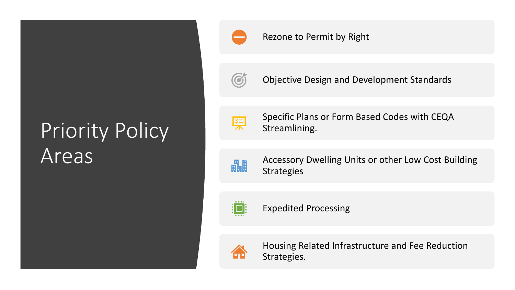# Priority Policy Areas



#### Rezone to Permit by Right



Objective Design and Development Standards



Specific Plans or Form Based Codes with CEQA Streamlining.



Accessory Dwelling Units or other Low Cost Building Strategies



Expedited Processing



Housing Related Infrastructure and Fee Reduction Strategies.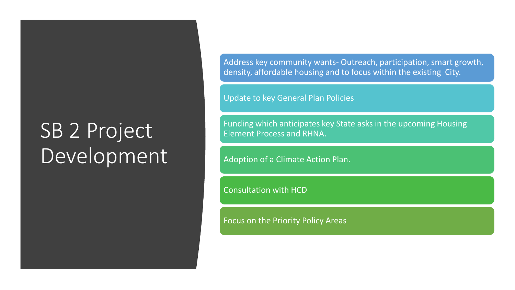# **SB 2 Project** Development

Address key community wants- Outreach, participation, smart growth, density, affordable housing and to focus within the existing City.

Update to key General Plan Policies

Funding which anticipates key State asks in the upcoming Housing Element Process and RHNA.

Adoption of a Climate Action Plan.

Consultation with HCD

Focus on the Priority Policy Areas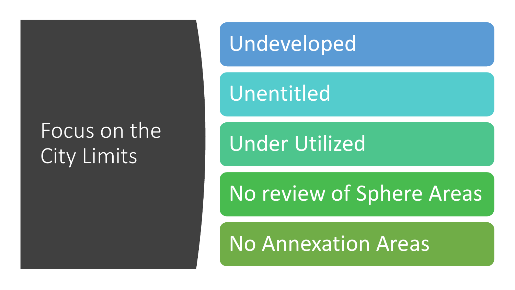### Focus on the City Limits

Undeveloped

Unentitled

Under Utilized

No review of Sphere Areas

No Annexation Areas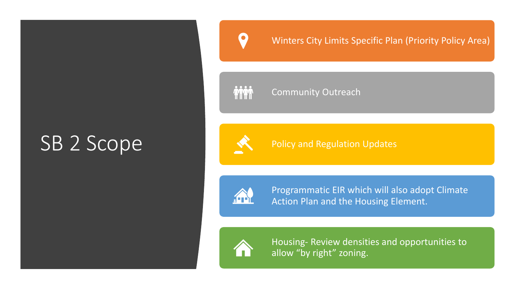### SB 2 Scope

#### Winters City Limits Specific Plan (Priority Policy Area)

2222 **AMM** 

#### Community Outreach

Policy and Regulation Updates



Programmatic EIR which will also adopt Climate Action Plan and the Housing Element.



Housing- Review densities and opportunities to allow "by right" zoning.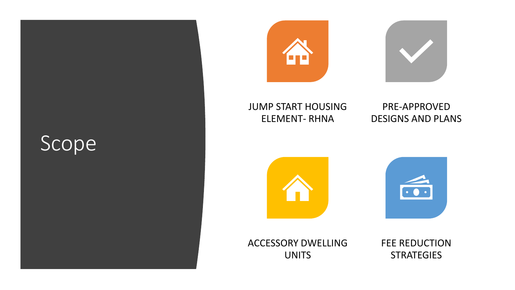### Scope





#### JUMP START HOUSING ELEMENT- RHNA

#### PRE-APPROVED DESIGNS AND PLANS



ACCESSORY DWELLING UNITS

FEE REDUCTION **STRATEGIES**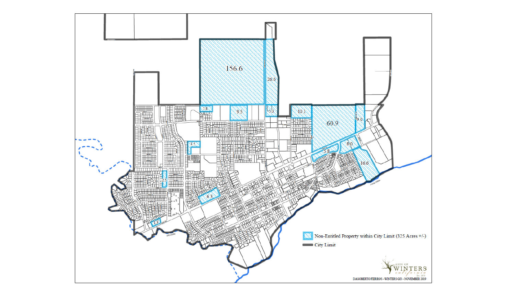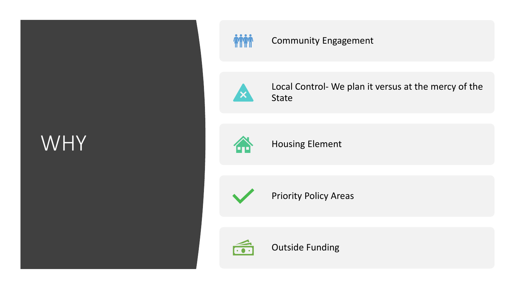### WHY

![](_page_11_Picture_1.jpeg)

### Community Engagement

![](_page_11_Picture_3.jpeg)

Local Control- We plan it versus at the mercy of the State

![](_page_11_Picture_5.jpeg)

Housing Element

![](_page_11_Picture_7.jpeg)

Priority Policy Areas

![](_page_11_Picture_9.jpeg)

Outside Funding